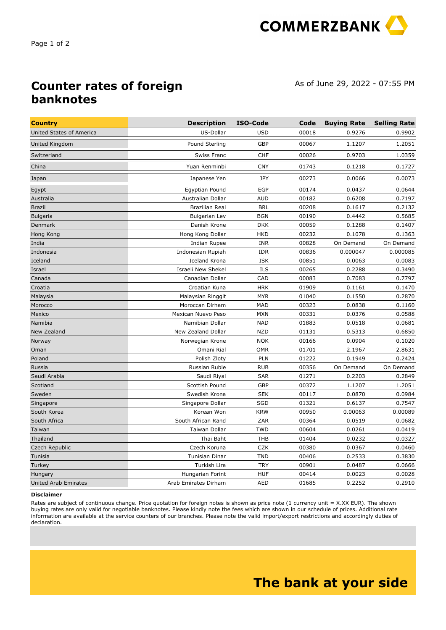

## **Counter rates of foreign banknotes**

As of June 29, 2022 - 07:55 PM

| <b>Country</b>           | <b>Description</b>    | ISO-Code   | Code  | <b>Buying Rate</b> | <b>Selling Rate</b> |
|--------------------------|-----------------------|------------|-------|--------------------|---------------------|
| United States of America | US-Dollar             | <b>USD</b> | 00018 | 0.9276             | 0.9902              |
| United Kingdom           | Pound Sterling        | GBP        | 00067 | 1.1207             | 1.2051              |
| Switzerland              | <b>Swiss Franc</b>    | <b>CHF</b> | 00026 | 0.9703             | 1.0359              |
| China                    | Yuan Renminbi         | <b>CNY</b> | 01743 | 0.1218             | 0.1727              |
| Japan                    | Japanese Yen          | JPY        | 00273 | 0.0066             | 0.0073              |
| Egypt                    | Egyptian Pound        | <b>EGP</b> | 00174 | 0.0437             | 0.0644              |
| Australia                | Australian Dollar     | <b>AUD</b> | 00182 | 0.6208             | 0.7197              |
| <b>Brazil</b>            | Brazilian Real        | <b>BRL</b> | 00208 | 0.1617             | 0.2132              |
| <b>Bulgaria</b>          | <b>Bulgarian Lev</b>  | <b>BGN</b> | 00190 | 0.4442             | 0.5685              |
| Denmark                  | Danish Krone          | <b>DKK</b> | 00059 | 0.1288             | 0.1407              |
| Hong Kong                | Hong Kong Dollar      | <b>HKD</b> | 00232 | 0.1078             | 0.1363              |
| India                    | Indian Rupee          | <b>INR</b> | 00828 | On Demand          | On Demand           |
| Indonesia                | Indonesian Rupiah     | <b>IDR</b> | 00836 | 0.000047           | 0.000085            |
| Iceland                  | <b>Iceland Krona</b>  | <b>ISK</b> | 00851 | 0.0063             | 0.0083              |
| Israel                   | Israeli New Shekel    | ILS        | 00265 | 0.2288             | 0.3490              |
| Canada                   | Canadian Dollar       | CAD        | 00083 | 0.7083             | 0.7797              |
| Croatia                  | Croatian Kuna         | <b>HRK</b> | 01909 | 0.1161             | 0.1470              |
| Malaysia                 | Malaysian Ringgit     | <b>MYR</b> | 01040 | 0.1550             | 0.2870              |
| Morocco                  | Moroccan Dirham       | MAD        | 00323 | 0.0838             | 0.1160              |
| Mexico                   | Mexican Nuevo Peso    | <b>MXN</b> | 00331 | 0.0376             | 0.0588              |
| Namibia                  | Namibian Dollar       | <b>NAD</b> | 01883 | 0.0518             | 0.0681              |
| New Zealand              | New Zealand Dollar    | <b>NZD</b> | 01131 | 0.5313             | 0.6850              |
| Norway                   | Norwegian Krone       | <b>NOK</b> | 00166 | 0.0904             | 0.1020              |
| Oman                     | Omani Rial            | <b>OMR</b> | 01701 | 2.1967             | 2.8631              |
| Poland                   | Polish Zloty          | PLN        | 01222 | 0.1949             | 0.2424              |
| Russia                   | Russian Ruble         | <b>RUB</b> | 00356 | On Demand          | On Demand           |
| Saudi Arabia             | Saudi Riyal           | <b>SAR</b> | 01271 | 0.2203             | 0.2849              |
| Scotland                 | Scottish Pound        | GBP        | 00372 | 1.1207             | 1.2051              |
| Sweden                   | Swedish Krona         | <b>SEK</b> | 00117 | 0.0870             | 0.0984              |
| Singapore                | Singapore Dollar      | <b>SGD</b> | 01321 | 0.6137             | 0.7547              |
| South Korea              | Korean Won            | <b>KRW</b> | 00950 | 0.00063            | 0.00089             |
| South Africa             | South African Rand    | ZAR        | 00364 | 0.0519             | 0.0682              |
| Taiwan                   | Taiwan Dollar         | <b>TWD</b> | 00604 | 0.0261             | 0.0419              |
| Thailand                 | Thai Baht             | <b>THB</b> | 01404 | 0.0232             | 0.0327              |
| Czech Republic           | Czech Koruna          | <b>CZK</b> | 00380 | 0.0367             | 0.0460              |
| Tunisia                  | <b>Tunisian Dinar</b> | <b>TND</b> | 00406 | 0.2533             | 0.3830              |
| Turkey                   | Turkish Lira          | <b>TRY</b> | 00901 | 0.0487             | 0.0666              |
| Hungary                  | Hungarian Forint      | <b>HUF</b> | 00414 | 0.0023             | 0.0028              |
| United Arab Emirates     | Arab Emirates Dirham  | AED        | 01685 | 0.2252             | 0.2910              |
|                          |                       |            |       |                    |                     |

## **Disclaimer**

Rates are subject of continuous change. Price quotation for foreign notes is shown as price note (1 currency unit = X.XX EUR). The shown buying rates are only valid for negotiable banknotes. Please kindly note the fees which are shown in our schedule of prices. Additional rate information are available at the service counters of our branches. Please note the valid import/export restrictions and accordingly duties of declaration.